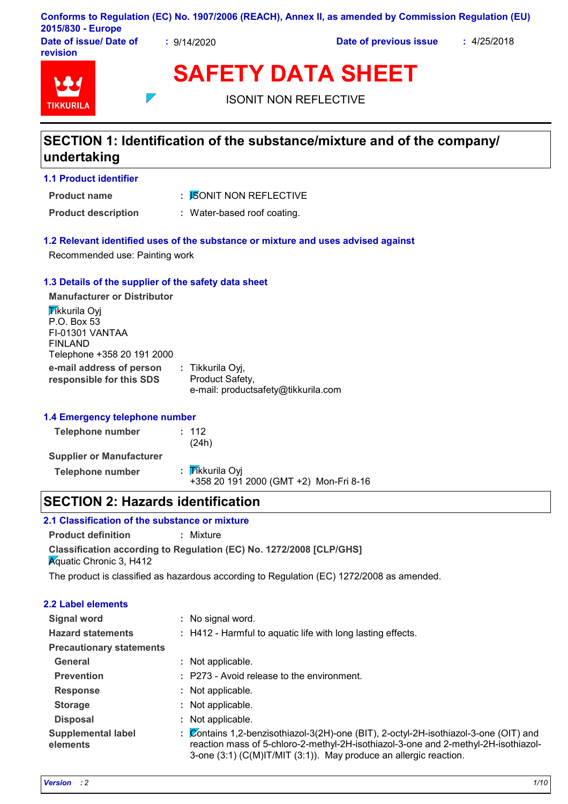|                        |             | Conforms to Regulation (EC) No. 1907/2006 (REACH), Annex II, as amended by Commission Regulation (EU) |             |
|------------------------|-------------|-------------------------------------------------------------------------------------------------------|-------------|
| 2015/830 - Europe      |             |                                                                                                       |             |
| Date of issue/ Date of | : 9/14/2020 | Date of previous issue                                                                                | : 4/25/2018 |

**Date of issue/ Date of revision**



| <b>SAFETY DATA SHEET</b> |
|--------------------------|
|--------------------------|

ISONIT NON REFLECTIVE

# **SECTION 1: Identification of the substance/mixture and of the company/ undertaking**

**1.1 Product identifier**

**Product name**

: *I*SONIT NON REFLECTIVE

**Product description :** Water-based roof coating.

### **1.2 Relevant identified uses of the substance or mixture and uses advised against**

Recommended use: Painting work

### **1.3 Details of the supplier of the safety data sheet**

 $\overline{\phantom{0}}$ 

**e-mail address of person responsible for this SDS :** Tikkurila Oyj, Product Safety, e-mail: productsafety@tikkurila.com **Manufacturer or Distributor Tikkurila Ovi** P.O. Box 53 FI-01301 VANTAA FINLAND Telephone +358 20 191 2000

# **1.4 Emergency telephone number**

| Telephone number                | : 112<br>(24h)                                            |
|---------------------------------|-----------------------------------------------------------|
| <b>Supplier or Manufacturer</b> |                                                           |
| Telephone number                | : Tikkurila Oyi<br>+358 20 191 2000 (GMT +2) Mon-Fri 8-16 |

# **SECTION 2: Hazards identification**

# **2.1 Classification of the substance or mixture**

**Classification according to Regulation (EC) No. 1272/2008 [CLP/GHS] Product definition :** Mixture **K**quatic Chronic 3, H412

The product is classified as hazardous according to Regulation (EC) 1272/2008 as amended.

| <b>2.2 Label elements</b>             |                                                                                                                                                                                                                                                 |
|---------------------------------------|-------------------------------------------------------------------------------------------------------------------------------------------------------------------------------------------------------------------------------------------------|
| <b>Signal word</b>                    | : No signal word.                                                                                                                                                                                                                               |
| <b>Hazard statements</b>              | : H412 - Harmful to aquatic life with long lasting effects.                                                                                                                                                                                     |
| <b>Precautionary statements</b>       |                                                                                                                                                                                                                                                 |
| General                               | : Not applicable.                                                                                                                                                                                                                               |
| <b>Prevention</b>                     | : P273 - Avoid release to the environment.                                                                                                                                                                                                      |
| <b>Response</b>                       | : Not applicable.                                                                                                                                                                                                                               |
| <b>Storage</b>                        | : Not applicable.                                                                                                                                                                                                                               |
| <b>Disposal</b>                       | : Not applicable.                                                                                                                                                                                                                               |
| <b>Supplemental label</b><br>elements | : Contains 1,2-benzisothiazol-3(2H)-one (BIT), 2-octyl-2H-isothiazol-3-one (OIT) and<br>reaction mass of 5-chloro-2-methyl-2H-isothiazol-3-one and 2-methyl-2H-isothiazol-<br>3-one (3:1) (C(M)IT/MIT (3:1)). May produce an allergic reaction. |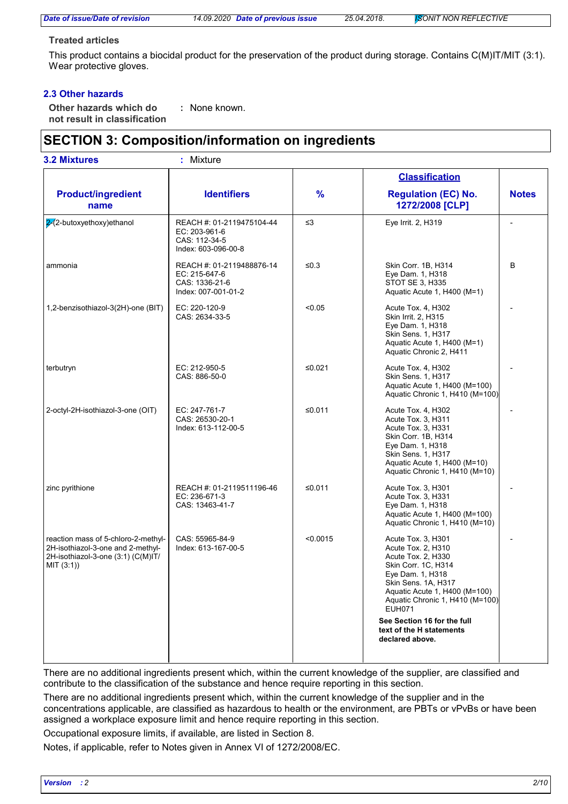*Date of issue/Date of revision 14.09.2020 Date of previous issue 25.04.2018. ISONIT NON REFLECTIVE*

#### **Treated articles**

This product contains a biocidal product for the preservation of the product during storage. Contains C(M)IT/MIT (3:1). Wear protective gloves.

## **2.3 Other hazards**

**Other hazards which do : not result in classification** : None known.

# **SECTION 3: Composition/information on ingredients**

|                                                                                                                             |                                                                                     |               | <b>Classification</b>                                                                                                                                                                                          |              |
|-----------------------------------------------------------------------------------------------------------------------------|-------------------------------------------------------------------------------------|---------------|----------------------------------------------------------------------------------------------------------------------------------------------------------------------------------------------------------------|--------------|
| <b>Product/ingredient</b><br>name                                                                                           | <b>Identifiers</b>                                                                  | $\frac{9}{6}$ | <b>Regulation (EC) No.</b><br>1272/2008 [CLP]                                                                                                                                                                  | <b>Notes</b> |
| 2 2-butoxyethoxy) ethanol                                                                                                   | REACH #: 01-2119475104-44<br>EC: 203-961-6<br>CAS: 112-34-5<br>Index: 603-096-00-8  | $\leq$ 3      | Eye Irrit. 2, H319                                                                                                                                                                                             |              |
| ammonia                                                                                                                     | REACH #: 01-2119488876-14<br>EC: 215-647-6<br>CAS: 1336-21-6<br>Index: 007-001-01-2 | $\leq 0.3$    | Skin Corr. 1B, H314<br>Eye Dam. 1, H318<br><b>STOT SE 3, H335</b><br>Aquatic Acute 1, H400 (M=1)                                                                                                               | B            |
| 1,2-benzisothiazol-3(2H)-one (BIT)                                                                                          | EC: 220-120-9<br>CAS: 2634-33-5                                                     | < 0.05        | Acute Tox. 4, H302<br>Skin Irrit. 2, H315<br>Eye Dam. 1, H318<br>Skin Sens. 1, H317<br>Aquatic Acute 1, H400 (M=1)<br>Aquatic Chronic 2, H411                                                                  |              |
| terbutryn                                                                                                                   | EC: 212-950-5<br>CAS: 886-50-0                                                      | ≤0.021        | Acute Tox. 4, H302<br><b>Skin Sens. 1. H317</b><br>Aquatic Acute 1, H400 (M=100)<br>Aquatic Chronic 1, H410 (M=100)                                                                                            |              |
| 2-octyl-2H-isothiazol-3-one (OIT)                                                                                           | EC: 247-761-7<br>CAS: 26530-20-1<br>Index: 613-112-00-5                             | ≤ $0.011$     | Acute Tox. 4, H302<br>Acute Tox. 3, H311<br>Acute Tox. 3, H331<br>Skin Corr. 1B, H314<br>Eye Dam. 1, H318<br>Skin Sens. 1, H317<br>Aquatic Acute 1, H400 (M=10)<br>Aquatic Chronic 1, H410 (M=10)              |              |
| zinc pyrithione                                                                                                             | REACH #: 01-2119511196-46<br>EC: 236-671-3<br>CAS: 13463-41-7                       | ≤0.011        | Acute Tox. 3, H301<br>Acute Tox. 3, H331<br>Eye Dam. 1, H318<br>Aquatic Acute 1, H400 (M=100)<br>Aquatic Chronic 1, H410 (M=10)                                                                                |              |
| reaction mass of 5-chloro-2-methyl-<br>2H-isothiazol-3-one and 2-methyl-<br>2H-isothiazol-3-one (3:1) (C(M)IT/<br>MIT (3:1) | CAS: 55965-84-9<br>Index: 613-167-00-5                                              | < 0.0015      | Acute Tox. 3, H301<br>Acute Tox. 2, H310<br>Acute Tox. 2, H330<br>Skin Corr. 1C, H314<br>Eye Dam. 1, H318<br>Skin Sens. 1A, H317<br>Aquatic Acute 1, H400 (M=100)<br>Aquatic Chronic 1, H410 (M=100)<br>EUH071 |              |
|                                                                                                                             |                                                                                     |               | See Section 16 for the full<br>text of the H statements<br>declared above.                                                                                                                                     |              |

There are no additional ingredients present which, within the current knowledge of the supplier, are classified and contribute to the classification of the substance and hence require reporting in this section.

There are no additional ingredients present which, within the current knowledge of the supplier and in the concentrations applicable, are classified as hazardous to health or the environment, are PBTs or vPvBs or have been assigned a workplace exposure limit and hence require reporting in this section.

Occupational exposure limits, if available, are listed in Section 8.

Notes, if applicable, refer to Notes given in Annex VI of 1272/2008/EC.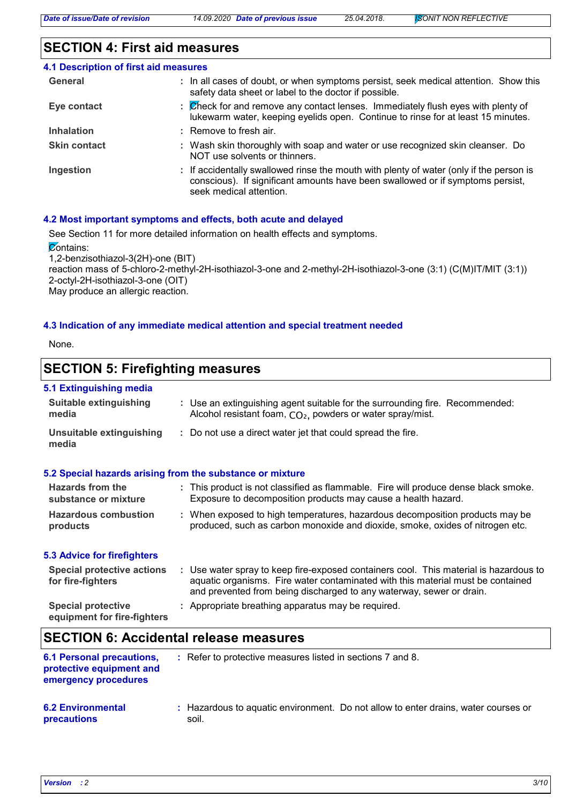# **SECTION 4: First aid measures**

| 4.1 Description of first aid measures |                                                                                                                                                                                                      |
|---------------------------------------|------------------------------------------------------------------------------------------------------------------------------------------------------------------------------------------------------|
| General                               | : In all cases of doubt, or when symptoms persist, seek medical attention. Show this<br>safety data sheet or label to the doctor if possible.                                                        |
| Eye contact                           | : Check for and remove any contact lenses. Immediately flush eyes with plenty of<br>lukewarm water, keeping eyelids open. Continue to rinse for at least 15 minutes.                                 |
| <b>Inhalation</b>                     | $\pm$ Remove to fresh air.                                                                                                                                                                           |
| <b>Skin contact</b>                   | : Wash skin thoroughly with soap and water or use recognized skin cleanser. Do<br>NOT use solvents or thinners.                                                                                      |
| Ingestion                             | : If accidentally swallowed rinse the mouth with plenty of water (only if the person is<br>conscious). If significant amounts have been swallowed or if symptoms persist,<br>seek medical attention. |

#### **4.2 Most important symptoms and effects, both acute and delayed**

See Section 11 for more detailed information on health effects and symptoms.

Contains:

1,2-benzisothiazol-3(2H)-one (BIT)

reaction mass of 5-chloro-2-methyl-2H-isothiazol-3-one and 2-methyl-2H-isothiazol-3-one (3:1) (C(M)IT/MIT (3:1)) 2-octyl-2H-isothiazol-3-one (OIT) May produce an allergic reaction.

### **4.3 Indication of any immediate medical attention and special treatment needed**

None.

# **SECTION 5: Firefighting measures**

### **5.1 Extinguishing media**

| <u>o. . Extinguioning moulu</u>                        |                                                                                                                                                                                                                                                  |
|--------------------------------------------------------|--------------------------------------------------------------------------------------------------------------------------------------------------------------------------------------------------------------------------------------------------|
| Suitable extinguishing<br>media                        | : Use an extinguishing agent suitable for the surrounding fire. Recommended:<br>Alcohol resistant foam, CO <sub>2</sub> , powders or water spray/mist.                                                                                           |
| <b>Unsuitable extinguishing</b><br>media               | : Do not use a direct water jet that could spread the fire.                                                                                                                                                                                      |
|                                                        | 5.2 Special hazards arising from the substance or mixture                                                                                                                                                                                        |
| Hazards from the<br>substance or mixture               | : This product is not classified as flammable. Fire will produce dense black smoke.<br>Exposure to decomposition products may cause a health hazard.                                                                                             |
| <b>Hazardous combustion</b><br>products                | : When exposed to high temperatures, hazardous decomposition products may be<br>produced, such as carbon monoxide and dioxide, smoke, oxides of nitrogen etc.                                                                                    |
| <b>5.3 Advice for firefighters</b>                     |                                                                                                                                                                                                                                                  |
| <b>Special protective actions</b><br>for fire-fighters | : Use water spray to keep fire-exposed containers cool. This material is hazardous to<br>aquatic organisms. Fire water contaminated with this material must be contained<br>and prevented from being discharged to any waterway, sewer or drain. |
| <b>Special protective</b>                              | : Appropriate breathing apparatus may be required.                                                                                                                                                                                               |

#### **equipment for fire-fighters**

# **SECTION 6: Accidental release measures**

| <b>6.1 Personal precautions,</b><br>protective equipment and<br>emergency procedures | : Refer to protective measures listed in sections 7 and 8.                                  |
|--------------------------------------------------------------------------------------|---------------------------------------------------------------------------------------------|
| <b>6.2 Environmental</b><br>precautions                                              | : Hazardous to aquatic environment. Do not allow to enter drains, water courses or<br>soil. |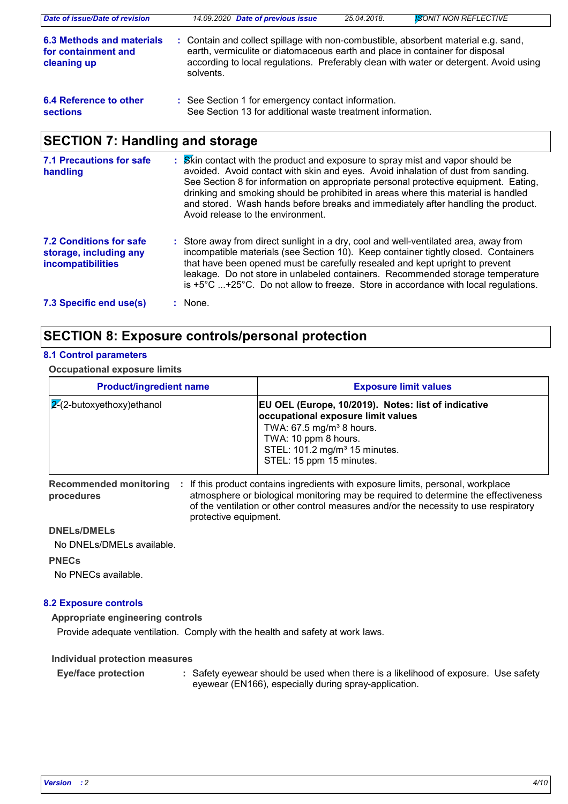| Date of issue/Date of revision                                  | 14.09.2020 Date of previous issue                                                                                                                                                                                                                                        | 25.04.2018. | <b>ISONIT NON REFLECTIVE</b> |
|-----------------------------------------------------------------|--------------------------------------------------------------------------------------------------------------------------------------------------------------------------------------------------------------------------------------------------------------------------|-------------|------------------------------|
| 6.3 Methods and materials<br>for containment and<br>cleaning up | : Contain and collect spillage with non-combustible, absorbent material e.g. sand,<br>earth, vermiculite or diatomaceous earth and place in container for disposal<br>according to local regulations. Preferably clean with water or detergent. Avoid using<br>solvents. |             |                              |
| 6.4 Reference to other<br><b>sections</b>                       | : See Section 1 for emergency contact information.<br>See Section 13 for additional waste treatment information.                                                                                                                                                         |             |                              |

# **SECTION 7: Handling and storage**

| 7.1 Precautions for safe<br>handling                                                 | : Skin contact with the product and exposure to spray mist and vapor should be<br>avoided. Avoid contact with skin and eyes. Avoid inhalation of dust from sanding.<br>See Section 8 for information on appropriate personal protective equipment. Eating,<br>drinking and smoking should be prohibited in areas where this material is handled<br>and stored. Wash hands before breaks and immediately after handling the product.<br>Avoid release to the environment. |
|--------------------------------------------------------------------------------------|--------------------------------------------------------------------------------------------------------------------------------------------------------------------------------------------------------------------------------------------------------------------------------------------------------------------------------------------------------------------------------------------------------------------------------------------------------------------------|
| <b>7.2 Conditions for safe</b><br>storage, including any<br><b>incompatibilities</b> | : Store away from direct sunlight in a dry, cool and well-ventilated area, away from<br>incompatible materials (see Section 10). Keep container tightly closed. Containers<br>that have been opened must be carefully resealed and kept upright to prevent<br>leakage. Do not store in unlabeled containers. Recommended storage temperature<br>is $+5^{\circ}$ C +25°C. Do not allow to freeze. Store in accordance with local regulations.                             |
| 7.3 Specific end use(s)                                                              | : None.                                                                                                                                                                                                                                                                                                                                                                                                                                                                  |

# **SECTION 8: Exposure controls/personal protection**

### **8.1 Control parameters**

**Occupational exposure limits**

| <b>Product/ingredient name</b> | <b>Exposure limit values</b>                                                                                                                                                                                                       |
|--------------------------------|------------------------------------------------------------------------------------------------------------------------------------------------------------------------------------------------------------------------------------|
| $ 2(2-butoxyethoxy)$ ethanol   | EU OEL (Europe, 10/2019). Notes: list of indicative<br>occupational exposure limit values<br>TWA: 67.5 mg/m <sup>3</sup> 8 hours.<br>TWA: 10 ppm 8 hours.<br>STEL: 101.2 mg/m <sup>3</sup> 15 minutes.<br>STEL: 15 ppm 15 minutes. |

Recommended monitoring : If this product contains ingredients with exposure limits, personal, workplace **procedures** atmosphere or biological monitoring may be required to determine the effectiveness of the ventilation or other control measures and/or the necessity to use respiratory protective equipment.

## **DNELs/DMELs**

No DNELs/DMELs available.

### **PNECs**

No PNECs available.

# **8.2 Exposure controls**

# **Appropriate engineering controls**

Provide adequate ventilation. Comply with the health and safety at work laws.

### **Individual protection measures**

Safety eyewear should be used when there is a likelihood of exposure. Use safety eyewear (EN166), especially during spray-application. **Eye/face protection :**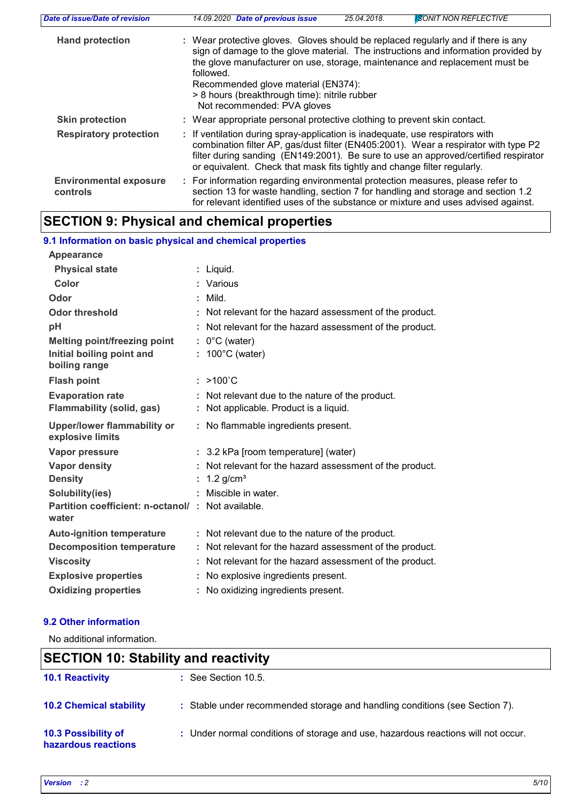| Date of issue/Date of revision            | <b>ISONIT NON REFLECTIVE</b><br>14.09.2020 Date of previous issue<br>25.04.2018.                                                                                                                                                                                                                                                                                                           |
|-------------------------------------------|--------------------------------------------------------------------------------------------------------------------------------------------------------------------------------------------------------------------------------------------------------------------------------------------------------------------------------------------------------------------------------------------|
| <b>Hand protection</b>                    | : Wear protective gloves. Gloves should be replaced regularly and if there is any<br>sign of damage to the glove material. The instructions and information provided by<br>the glove manufacturer on use, storage, maintenance and replacement must be<br>followed.<br>Recommended glove material (EN374):<br>> 8 hours (breakthrough time): nitrile rubber<br>Not recommended: PVA gloves |
| <b>Skin protection</b>                    | : Wear appropriate personal protective clothing to prevent skin contact.                                                                                                                                                                                                                                                                                                                   |
| <b>Respiratory protection</b>             | : If ventilation during spray-application is inadequate, use respirators with<br>combination filter AP, gas/dust filter (EN405:2001). Wear a respirator with type P2<br>filter during sanding (EN149:2001). Be sure to use an approved/certified respirator<br>or equivalent. Check that mask fits tightly and change filter regularly.                                                    |
| <b>Environmental exposure</b><br>controls | : For information regarding environmental protection measures, please refer to<br>section 13 for waste handling, section 7 for handling and storage and section 1.2<br>for relevant identified uses of the substance or mixture and uses advised against.                                                                                                                                  |

# **SECTION 9: Physical and chemical properties**

| 9.1 Information on basic physical and chemical properties  |    |                                                                                          |  |  |  |
|------------------------------------------------------------|----|------------------------------------------------------------------------------------------|--|--|--|
| Appearance                                                 |    |                                                                                          |  |  |  |
| <b>Physical state</b>                                      |    | : Liquid.                                                                                |  |  |  |
| Color                                                      |    | : Various                                                                                |  |  |  |
| Odor                                                       | ÷. | Mild.                                                                                    |  |  |  |
| <b>Odor threshold</b>                                      |    | : Not relevant for the hazard assessment of the product.                                 |  |  |  |
| pH                                                         |    | : Not relevant for the hazard assessment of the product.                                 |  |  |  |
| Melting point/freezing point                               |    | $: 0^{\circ}$ C (water)                                                                  |  |  |  |
| Initial boiling point and<br>boiling range                 | t. | $100^{\circ}$ C (water)                                                                  |  |  |  |
| <b>Flash point</b>                                         |    | $: >100^{\circ}C$                                                                        |  |  |  |
| <b>Evaporation rate</b><br>Flammability (solid, gas)       | ÷. | : Not relevant due to the nature of the product.<br>Not applicable. Product is a liquid. |  |  |  |
| <b>Upper/lower flammability or</b>                         |    | : No flammable ingredients present.                                                      |  |  |  |
| explosive limits                                           |    |                                                                                          |  |  |  |
| Vapor pressure                                             |    | : 3.2 kPa [room temperature] (water)                                                     |  |  |  |
| <b>Vapor density</b>                                       |    | Not relevant for the hazard assessment of the product.                                   |  |  |  |
| <b>Density</b>                                             |    | 1.2 $g/cm3$                                                                              |  |  |  |
| Solubility(ies)                                            |    | Miscible in water.                                                                       |  |  |  |
| Partition coefficient: n-octanol/: Not available.<br>water |    |                                                                                          |  |  |  |
| <b>Auto-ignition temperature</b>                           |    | : Not relevant due to the nature of the product.                                         |  |  |  |
| <b>Decomposition temperature</b>                           |    | : Not relevant for the hazard assessment of the product.                                 |  |  |  |
| <b>Viscosity</b>                                           |    | : Not relevant for the hazard assessment of the product.                                 |  |  |  |
| <b>Explosive properties</b>                                | ÷. | No explosive ingredients present.                                                        |  |  |  |
| <b>Oxidizing properties</b>                                | t. | No oxidizing ingredients present.                                                        |  |  |  |

# **9.2 Other information**

No additional information.

# **SECTION 10: Stability and reactivity**

| <b>10.1 Reactivity</b>                     | $\therefore$ See Section 10.5.                                                    |
|--------------------------------------------|-----------------------------------------------------------------------------------|
| <b>10.2 Chemical stability</b>             | : Stable under recommended storage and handling conditions (see Section 7).       |
| 10.3 Possibility of<br>hazardous reactions | : Under normal conditions of storage and use, hazardous reactions will not occur. |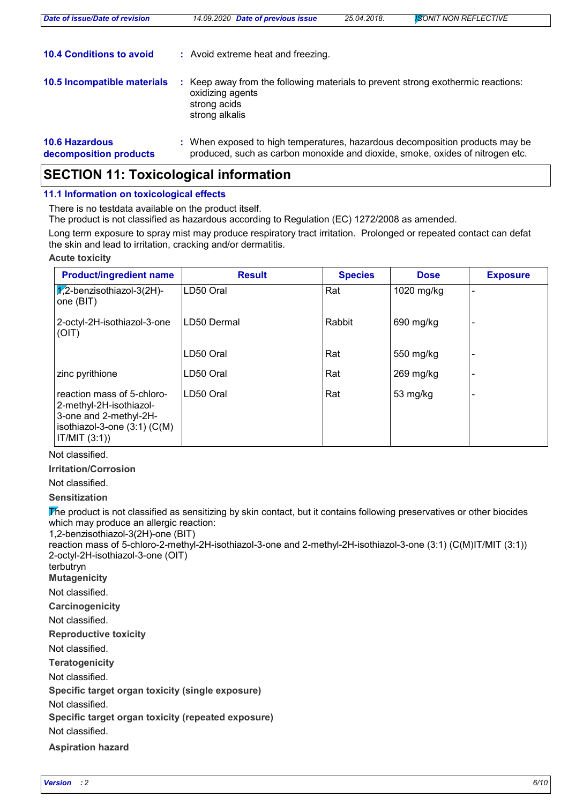| Date of issue/Date of revision                  | 14.09.2020 Date of previous issue                                                                                                                             | 25.04.2018. | <b>ISONIT NON REFLECTIVE</b> |
|-------------------------------------------------|---------------------------------------------------------------------------------------------------------------------------------------------------------------|-------------|------------------------------|
| <b>10.4 Conditions to avoid</b>                 | : Avoid extreme heat and freezing.                                                                                                                            |             |                              |
| 10.5 Incompatible materials                     | Keep away from the following materials to prevent strong exothermic reactions:<br>oxidizing agents<br>strong acids<br>strong alkalis                          |             |                              |
| <b>10.6 Hazardous</b><br>decomposition products | : When exposed to high temperatures, hazardous decomposition products may be<br>produced, such as carbon monoxide and dioxide, smoke, oxides of nitrogen etc. |             |                              |

# **SECTION 11: Toxicological information**

### **11.1 Information on toxicological effects**

There is no testdata available on the product itself.

The product is not classified as hazardous according to Regulation (EC) 1272/2008 as amended.

Long term exposure to spray mist may produce respiratory tract irritation. Prolonged or repeated contact can defat the skin and lead to irritation, cracking and/or dermatitis.

#### **Acute toxicity**

| <b>Product/ingredient name</b>                                                                                                       | <b>Result</b> | <b>Species</b> | <b>Dose</b> | <b>Exposure</b> |
|--------------------------------------------------------------------------------------------------------------------------------------|---------------|----------------|-------------|-----------------|
| $\chi$ 2-benzisothiazol-3(2H)-<br>one (BIT)                                                                                          | LD50 Oral     | Rat            | 1020 mg/kg  |                 |
| 2-octyl-2H-isothiazol-3-one<br>(OIT)                                                                                                 | LD50 Dermal   | Rabbit         | 690 mg/kg   |                 |
|                                                                                                                                      | LD50 Oral     | Rat            | 550 mg/kg   |                 |
| zinc pyrithione                                                                                                                      | LD50 Oral     | Rat            | $269$ mg/kg |                 |
| reaction mass of 5-chloro-<br>2-methyl-2H-isothiazol-<br>3-one and 2-methyl-2H-<br>isothiazol-3-one $(3:1)$ $(C(M))$<br>IT/MIT (3:1) | LD50 Oral     | Rat            | 53 mg/kg    |                 |

### Not classified.

**Irritation/Corrosion**

# Not classified.

**Sensitization**

The product is not classified as sensitizing by skin contact, but it contains following preservatives or other biocides which may produce an allergic reaction:

1,2-benzisothiazol-3(2H)-one (BIT)

reaction mass of 5-chloro-2-methyl-2H-isothiazol-3-one and 2-methyl-2H-isothiazol-3-one (3:1) (C(M)IT/MIT (3:1)) 2-octyl-2H-isothiazol-3-one (OIT)

terbutryn

**Mutagenicity**

Not classified.

**Carcinogenicity**

Not classified.

**Reproductive toxicity**

Not classified.

**Teratogenicity**

Not classified.

**Specific target organ toxicity (single exposure)**

Not classified.

**Specific target organ toxicity (repeated exposure)**

Not classified.

**Aspiration hazard**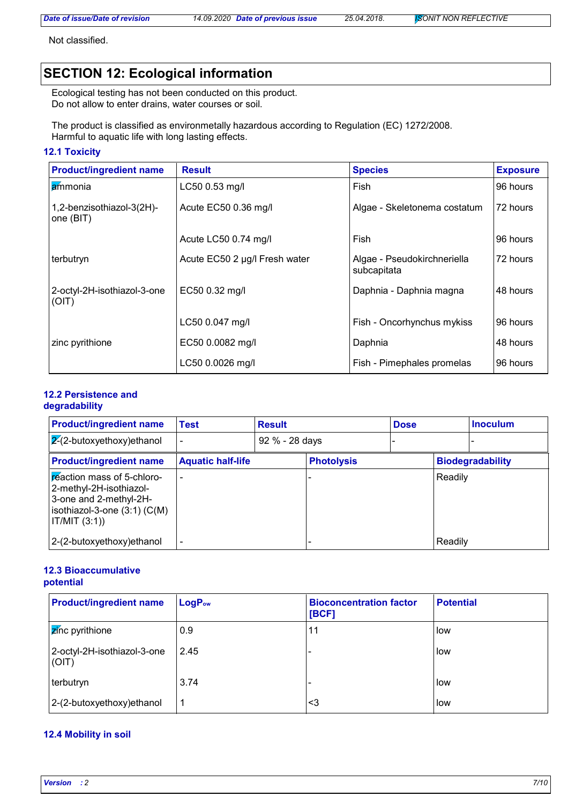Not classified.

# **SECTION 12: Ecological information**

Ecological testing has not been conducted on this product. Do not allow to enter drains, water courses or soil.

The product is classified as environmetally hazardous according to Regulation (EC) 1272/2008. Harmful to aquatic life with long lasting effects.

## **12.1 Toxicity**

| <b>Product/ingredient name</b>         | <b>Result</b>                 | <b>Species</b>                             | <b>Exposure</b> |
|----------------------------------------|-------------------------------|--------------------------------------------|-----------------|
| ammonia                                | LC50 0.53 mg/l                | Fish                                       | 96 hours        |
| 1,2-benzisothiazol-3(2H)-<br>one (BIT) | Acute EC50 0.36 mg/l          | Algae - Skeletonema costatum               | 72 hours        |
|                                        | Acute LC50 0.74 mg/l          | Fish                                       | 96 hours        |
| terbutryn                              | Acute EC50 2 µg/l Fresh water | Algae - Pseudokirchneriella<br>subcapitata | 72 hours        |
| 2-octyl-2H-isothiazol-3-one<br>(OIT)   | EC50 0.32 mg/l                | Daphnia - Daphnia magna                    | 48 hours        |
|                                        | LC50 0.047 mg/l               | Fish - Oncorhynchus mykiss                 | 96 hours        |
| zinc pyrithione                        | EC50 0.0082 mg/l              | Daphnia                                    | 48 hours        |
|                                        | LC50 0.0026 mg/l              | Fish - Pimephales promelas                 | 96 hours        |

# **12.2 Persistence and**

# **degradability**

| <b>Product/ingredient name</b>                                                                                                       | Test                     | <b>Result</b>  |                   | <b>Dose</b> |         | <b>Inoculum</b>         |
|--------------------------------------------------------------------------------------------------------------------------------------|--------------------------|----------------|-------------------|-------------|---------|-------------------------|
| $\sqrt{2}$ -butoxyethoxy)ethanol                                                                                                     |                          | 92 % - 28 days |                   |             |         |                         |
| <b>Product/ingredient name</b>                                                                                                       | <b>Aquatic half-life</b> |                | <b>Photolysis</b> |             |         | <b>Biodegradability</b> |
| reaction mass of 5-chloro-<br>2-methyl-2H-isothiazol-<br>3-one and 2-methyl-2H-<br>isothiazol-3-one $(3:1)$ $(C(M))$<br>IT/MIT (3:1) |                          |                |                   |             | Readily |                         |
| 2-(2-butoxyethoxy) ethanol                                                                                                           |                          |                |                   |             | Readily |                         |

#### **12.3 Bioaccumulative potential**

| <b>Product/ingredient name</b>       | LogP <sub>ow</sub> | <b>Bioconcentration factor</b><br>[BCF] | <b>Potential</b> |
|--------------------------------------|--------------------|-----------------------------------------|------------------|
| <b>Z</b> inc pyrithione              | 0.9                | 11                                      | low              |
| 2-octyl-2H-isothiazol-3-one<br>(OIT) | 2.45               |                                         | low              |
| terbutryn                            | 3.74               |                                         | low              |
| 2-(2-butoxyethoxy) ethanol           | 1                  | <3                                      | low              |

### **12.4 Mobility in soil**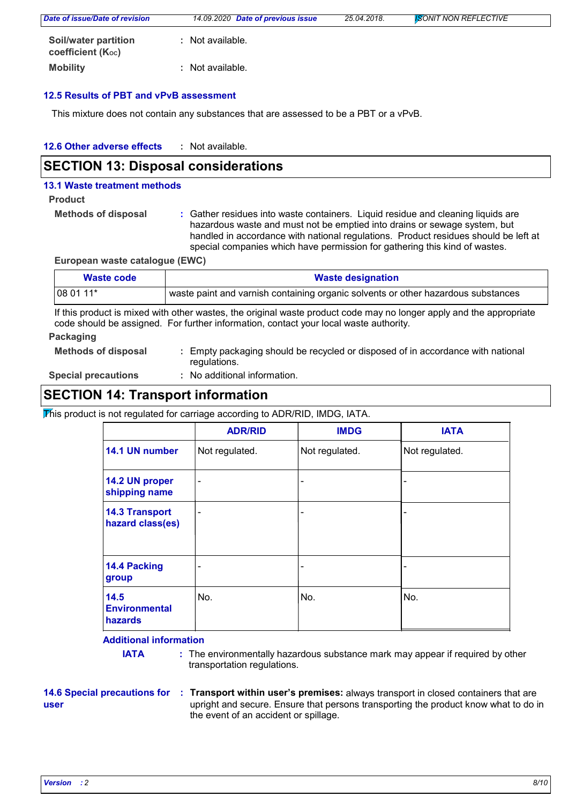| Date of issue/Date of revision                 | 14.09.2020 Date of previous issue | 25.04.2018. | <b>SONIT NON REFLECTIVE</b> |  |
|------------------------------------------------|-----------------------------------|-------------|-----------------------------|--|
| Soil/water partition<br>coefficient $(K_{oc})$ | : Not available.                  |             |                             |  |
| <b>Mobility</b>                                | : Not available.                  |             |                             |  |

### **12.5 Results of PBT and vPvB assessment**

This mixture does not contain any substances that are assessed to be a PBT or a vPvB.

| 12.6 Other adverse effects | Not available. |
|----------------------------|----------------|
|----------------------------|----------------|

# **SECTION 13: Disposal considerations**

#### **13.1 Waste treatment methods**

#### **Product**

```
Methods of disposal :
```
Gather residues into waste containers. Liquid residue and cleaning liquids are hazardous waste and must not be emptied into drains or sewage system, but handled in accordance with national regulations. Product residues should be left at special companies which have permission for gathering this kind of wastes.

**European waste catalogue (EWC)**

| Waste code | <b>Waste designation</b>                                                          |  |  |
|------------|-----------------------------------------------------------------------------------|--|--|
| 08 01 11*  | waste paint and varnish containing organic solvents or other hazardous substances |  |  |

If this product is mixed with other wastes, the original waste product code may no longer apply and the appropriate code should be assigned. For further information, contact your local waste authority.

#### **Packaging**

| <b>Methods of disposal</b> | : Empty packaging should be recycled or disposed of in accordance with national |
|----------------------------|---------------------------------------------------------------------------------|
|                            | regulations.                                                                    |

**Special precautions :**

No additional information.

# **SECTION 14: Transport information**

This product is not regulated for carriage according to ADR/RID, IMDG, IATA.

|                                           | <b>ADR/RID</b>           | <b>IMDG</b>              | <b>IATA</b>    |
|-------------------------------------------|--------------------------|--------------------------|----------------|
| 14.1 UN number                            | Not regulated.           | Not regulated.           | Not regulated. |
| 14.2 UN proper<br>shipping name           | $\overline{\phantom{a}}$ | $\overline{\phantom{a}}$ |                |
| <b>14.3 Transport</b><br>hazard class(es) | $\overline{\phantom{0}}$ | $\overline{\phantom{0}}$ |                |
| 14.4 Packing<br>group                     |                          | -                        |                |
| 14.5<br><b>Environmental</b><br>hazards   | No.                      | No.                      | No.            |

### **Additional information**

**IATA** : The environmentally hazardous substance mark may appear if required by other transportation regulations.

**user**

**14.6 Special precautions for : Transport within user's premises: always transport in closed containers that are** upright and secure. Ensure that persons transporting the product know what to do in the event of an accident or spillage.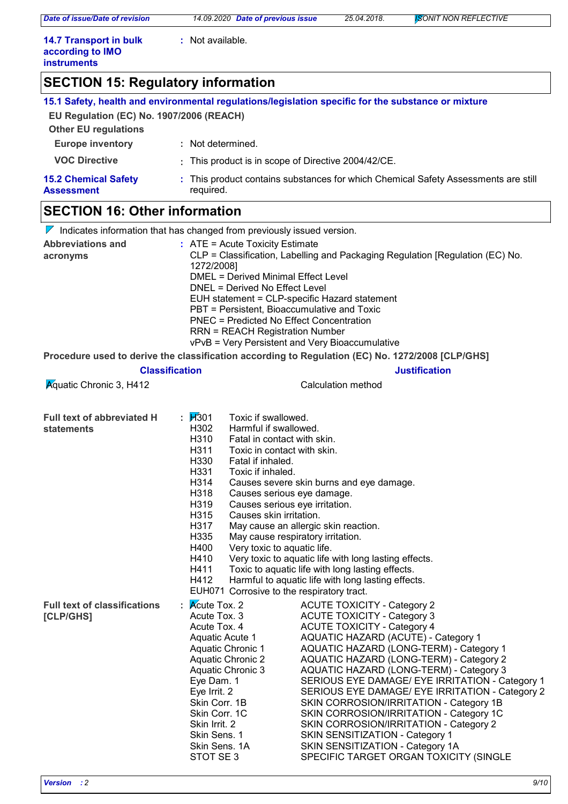*Date of issue/Date of revision 14.09.2020 Date of previous issue 25.04.2018. ISONIT NON REFLECTIVE*

**:** Not available.

| <b>14.7 Transport in bulk</b> |  |
|-------------------------------|--|
| according to IMO              |  |
| <b>instruments</b>            |  |

# **SECTION 15: Regulatory information**

| EU Regulation (EC) No. 1907/2006 (REACH)<br><b>Other EU regulations</b> | 15.1 Safety, health and environmental regulations/legislation specific for the substance or mixture |
|-------------------------------------------------------------------------|-----------------------------------------------------------------------------------------------------|
| <b>Europe inventory</b>                                                 | : Not determined.                                                                                   |
| <b>VOC Directive</b>                                                    | : This product is in scope of Directive 2004/42/CE.                                                 |
| <b>15.2 Chemical Safety</b><br><b>Assessment</b>                        | : This product contains substances for which Chemical Safety Assessments are still<br>required.     |
| <b>CECTION 16: Othor information</b>                                    |                                                                                                     |

# **SECTION 16: Other information**

| $\nabla$ Indicates information that has changed from previously issued version. |                                                                                                                                                                                                                                                                                                                                                                                                                                                                |                                                                                                                                                                                                                                                                                                                                                                                                                                                                                                                                                                                                                                               |  |  |  |  |
|---------------------------------------------------------------------------------|----------------------------------------------------------------------------------------------------------------------------------------------------------------------------------------------------------------------------------------------------------------------------------------------------------------------------------------------------------------------------------------------------------------------------------------------------------------|-----------------------------------------------------------------------------------------------------------------------------------------------------------------------------------------------------------------------------------------------------------------------------------------------------------------------------------------------------------------------------------------------------------------------------------------------------------------------------------------------------------------------------------------------------------------------------------------------------------------------------------------------|--|--|--|--|
| <b>Abbreviations and</b><br>acronyms                                            | : ATE = Acute Toxicity Estimate<br>CLP = Classification, Labelling and Packaging Regulation [Regulation (EC) No.<br>1272/2008]<br><b>DMEL = Derived Minimal Effect Level</b><br>DNEL = Derived No Effect Level<br>EUH statement = CLP-specific Hazard statement<br>PBT = Persistent, Bioaccumulative and Toxic<br><b>PNEC = Predicted No Effect Concentration</b><br><b>RRN = REACH Registration Number</b><br>vPvB = Very Persistent and Very Bioaccumulative |                                                                                                                                                                                                                                                                                                                                                                                                                                                                                                                                                                                                                                               |  |  |  |  |
|                                                                                 |                                                                                                                                                                                                                                                                                                                                                                                                                                                                | Procedure used to derive the classification according to Regulation (EC) No. 1272/2008 [CLP/GHS]                                                                                                                                                                                                                                                                                                                                                                                                                                                                                                                                              |  |  |  |  |
|                                                                                 | <b>Classification</b>                                                                                                                                                                                                                                                                                                                                                                                                                                          | <b>Justification</b>                                                                                                                                                                                                                                                                                                                                                                                                                                                                                                                                                                                                                          |  |  |  |  |
| <b>Aquatic Chronic 3, H412</b>                                                  |                                                                                                                                                                                                                                                                                                                                                                                                                                                                | Calculation method                                                                                                                                                                                                                                                                                                                                                                                                                                                                                                                                                                                                                            |  |  |  |  |
| <b>Full text of abbreviated H</b><br><b>statements</b>                          | : $1/301$<br>H302<br>H310<br>H311<br>H330<br>H331<br>H314<br>H318<br>H319<br>H315<br>H317<br>H335<br>H400<br>H410<br>H411<br>H412<br>EUH071 Corrosive to the respiratory tract.                                                                                                                                                                                                                                                                                | Toxic if swallowed.<br>Harmful if swallowed.<br>Fatal in contact with skin.<br>Toxic in contact with skin.<br>Fatal if inhaled.<br>Toxic if inhaled.<br>Causes severe skin burns and eye damage.<br>Causes serious eye damage.<br>Causes serious eye irritation.<br>Causes skin irritation.<br>May cause an allergic skin reaction.<br>May cause respiratory irritation.<br>Very toxic to aquatic life.<br>Very toxic to aquatic life with long lasting effects.<br>Toxic to aquatic life with long lasting effects.<br>Harmful to aquatic life with long lasting effects.                                                                    |  |  |  |  |
| <b>Full text of classifications</b><br>[CLP/GHS]                                | $\mathsf{R}$ $\mathsf{R}$ Acute Tox. 2<br>Acute Tox. 3<br>Acute Tox. 4<br>Aquatic Acute 1<br>Aquatic Chronic 1<br><b>Aquatic Chronic 2</b><br>Aquatic Chronic 3<br>Eye Dam. 1<br>Eye Irrit. 2<br>Skin Corr. 1B<br>Skin Corr. 1C<br>Skin Irrit. 2<br>Skin Sens. 1<br>Skin Sens. 1A<br>STOT SE 3                                                                                                                                                                 | <b>ACUTE TOXICITY - Category 2</b><br><b>ACUTE TOXICITY - Category 3</b><br><b>ACUTE TOXICITY - Category 4</b><br>AQUATIC HAZARD (ACUTE) - Category 1<br>AQUATIC HAZARD (LONG-TERM) - Category 1<br>AQUATIC HAZARD (LONG-TERM) - Category 2<br>AQUATIC HAZARD (LONG-TERM) - Category 3<br>SERIOUS EYE DAMAGE/ EYE IRRITATION - Category 1<br>SERIOUS EYE DAMAGE/ EYE IRRITATION - Category 2<br>SKIN CORROSION/IRRITATION - Category 1B<br>SKIN CORROSION/IRRITATION - Category 1C<br>SKIN CORROSION/IRRITATION - Category 2<br>SKIN SENSITIZATION - Category 1<br>SKIN SENSITIZATION - Category 1A<br>SPECIFIC TARGET ORGAN TOXICITY (SINGLE |  |  |  |  |